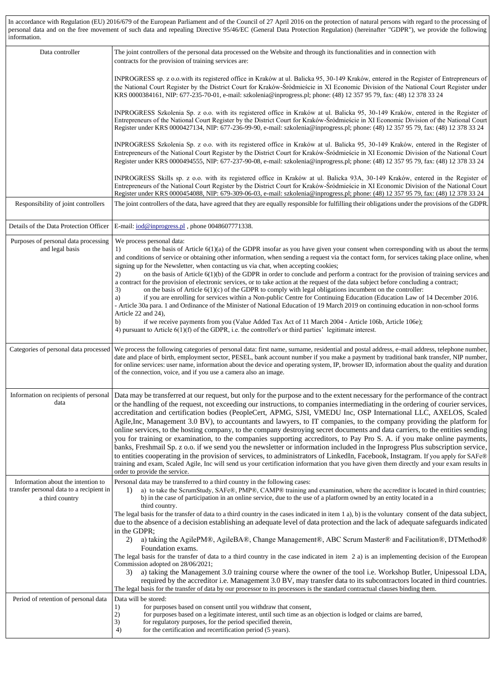In accordance with Regulation (EU) 2016/679 of the European Parliament and of the Council of 27 April 2016 on the protection of natural persons with regard to the processing of personal data and on the free movement of such data and repealing Directive 95/46/EC (General Data Protection Regulation) (hereinafter "GDPR"), we provide the following information.

| Data controller                                                                                   | The joint controllers of the personal data processed on the Website and through its functionalities and in connection with<br>contracts for the provision of training services are:                                                                                                                                                                                                                                                                                                                                                                                                                                                                                                                                                                                                                                                                                                                                                                                                                                                                                                                                                                                                                                                                                                                                                                                            |
|---------------------------------------------------------------------------------------------------|--------------------------------------------------------------------------------------------------------------------------------------------------------------------------------------------------------------------------------------------------------------------------------------------------------------------------------------------------------------------------------------------------------------------------------------------------------------------------------------------------------------------------------------------------------------------------------------------------------------------------------------------------------------------------------------------------------------------------------------------------------------------------------------------------------------------------------------------------------------------------------------------------------------------------------------------------------------------------------------------------------------------------------------------------------------------------------------------------------------------------------------------------------------------------------------------------------------------------------------------------------------------------------------------------------------------------------------------------------------------------------|
|                                                                                                   | INPROGRESS sp. z o.o.with its registered office in Kraków at ul. Balicka 95, 30-149 Kraków, entered in the Register of Entrepreneurs of<br>the National Court Register by the District Court for Kraków-Śródmieście in XI Economic Division of the National Court Register under<br>KRS 0000384161, NIP: 677-235-70-01, e-mail: szkolenia@inprogress.pl; phone: (48) 12 357 95 79, fax: (48) 12 378 33 24                                                                                                                                                                                                                                                                                                                                                                                                                                                                                                                                                                                                                                                                                                                                                                                                                                                                                                                                                                      |
|                                                                                                   | INPROGRESS Szkolenia Sp. z o.o. with its registered office in Kraków at ul. Balicka 95, 30-149 Kraków, entered in the Register of<br>Entrepreneurs of the National Court Register by the District Court for Kraków-Śródmieście in XI Economic Division of the National Court<br>Register under KRS 0000427134, NIP: 677-236-99-90, e-mail: szkolenia@inprogress.pl; phone: (48) 12 357 95 79, fax: (48) 12 378 33 24                                                                                                                                                                                                                                                                                                                                                                                                                                                                                                                                                                                                                                                                                                                                                                                                                                                                                                                                                           |
|                                                                                                   | INPROGRESS Szkolenia Sp. z o.o. with its registered office in Kraków at ul. Balicka 95, 30-149 Kraków, entered in the Register of<br>Entrepreneurs of the National Court Register by the District Court for Kraków-Śródmieście in XI Economic Division of the National Court<br>Register under KRS 0000494555, NIP: 677-237-90-08, e-mail: szkolenia@inprogress.pl; phone: (48) 12 357 95 79, fax: (48) 12 378 33 24                                                                                                                                                                                                                                                                                                                                                                                                                                                                                                                                                                                                                                                                                                                                                                                                                                                                                                                                                           |
|                                                                                                   | INPROGRESS Skills sp. z o.o. with its registered office in Kraków at ul. Balicka 93A, 30-149 Kraków, entered in the Register of<br>Entrepreneurs of the National Court Register by the District Court for Kraków-Sródmieście in XI Economic Division of the National Court<br>Register under KRS 0000454088, NIP: 679-309-06-03, e-mail: szkolenia@inprogress.pl; phone: (48) 12 357 95 79, fax: (48) 12 378 33 24                                                                                                                                                                                                                                                                                                                                                                                                                                                                                                                                                                                                                                                                                                                                                                                                                                                                                                                                                             |
| Responsibility of joint controllers                                                               | The joint controllers of the data, have agreed that they are equally responsible for fulfilling their obligations under the provisions of the GDPR.                                                                                                                                                                                                                                                                                                                                                                                                                                                                                                                                                                                                                                                                                                                                                                                                                                                                                                                                                                                                                                                                                                                                                                                                                            |
| Details of the Data Protection Officer                                                            | E-mail: iod@inprogress.pl, phone 0048607771338.                                                                                                                                                                                                                                                                                                                                                                                                                                                                                                                                                                                                                                                                                                                                                                                                                                                                                                                                                                                                                                                                                                                                                                                                                                                                                                                                |
| Purposes of personal data processing<br>and legal basis                                           | We process personal data:<br>on the basis of Article $6(1)(a)$ of the GDPR insofar as you have given your consent when corresponding with us about the terms<br>1)<br>and conditions of service or obtaining other information, when sending a request via the contact form, for services taking place online, when<br>signing up for the Newsletter, when contacting us via chat, when accepting cookies;<br>on the basis of Article $6(1)(b)$ of the GDPR in order to conclude and perform a contract for the provision of training services and<br>2)<br>a contract for the provision of electronic services, or to take action at the request of the data subject before concluding a contract;<br>3)<br>on the basis of Article $6(1)(c)$ of the GDPR to comply with legal obligations incumbent on the controller:<br>if you are enrolling for services within a Non-public Centre for Continuing Education (Education Law of 14 December 2016.<br>a)<br>- Article 30a para. 1 and Ordinance of the Minister of National Education of 19 March 2019 on continuing education in non-school forms<br>Article 22 and 24),<br>if we receive payments from you (Value Added Tax Act of 11 March 2004 - Article 106b, Article 106e);<br>b)                                                                                                                                     |
|                                                                                                   | 4) pursuant to Article $6(1)(f)$ of the GDPR, i.e. the controller's or third parties' legitimate interest.                                                                                                                                                                                                                                                                                                                                                                                                                                                                                                                                                                                                                                                                                                                                                                                                                                                                                                                                                                                                                                                                                                                                                                                                                                                                     |
| Categories of personal data processed                                                             | We process the following categories of personal data: first name, surname, residential and postal address, e-mail address, telephone number,<br>date and place of birth, employment sector, PESEL, bank account number if you make a payment by traditional bank transfer, NIP number,<br>for online services: user name, information about the device and operating system, IP, browser ID, information about the quality and duration<br>of the connection, voice, and if you use a camera also an image.                                                                                                                                                                                                                                                                                                                                                                                                                                                                                                                                                                                                                                                                                                                                                                                                                                                                    |
| Information on recipients of personal<br>data                                                     | Data may be transferred at our request, but only for the purpose and to the extent necessary for the performance of the contract<br>or the handling of the request, not exceeding our instructions, to companies intermediating in the ordering of courier services,<br>accreditation and certification bodies (PeopleCert, APMG, SJSI, VMEDU Inc, OSP International LLC, AXELOS, Scaled<br>Agile, Inc, Management 3.0 BV), to accountants and lawyers, to IT companies, to the company providing the platform for<br>online services, to the hosting company, to the company destroying secret documents and data carriers, to the entities sending<br>you for training or examination, to the companies supporting accreditors, to Pay Pro S. A. if you make online payments,<br>banks, Freshmail Sp. z o.o. if we send you the newsletter or information included in the Inprogress Plus subscription service,<br>to entities cooperating in the provision of services, to administrators of LinkedIn, Facebook, Instagram. If you apply for SAFe®<br>training and exam, Scaled Agile, Inc will send us your certification information that you have given them directly and your exam results in<br>order to provide the service.                                                                                                                                          |
| Information about the intention to<br>transfer personal data to a recipient in<br>a third country | Personal data may be transferred to a third country in the following cases:<br>a) to take the ScrumStudy, SAFe®, PMP®, CAMP® training and examination, where the accreditor is located in third countries;<br>$_{1}$<br>b) in the case of participation in an online service, due to the use of a platform owned by an entity located in a<br>third country.<br>The legal basis for the transfer of data to a third country in the cases indicated in item 1 a), b) is the voluntary consent of the data subject,<br>due to the absence of a decision establishing an adequate level of data protection and the lack of adequate safeguards indicated<br>in the GDPR;<br>a) taking the AgilePM®, AgileBA®, Change Management®, ABC Scrum Master® and Facilitation®, DTMethod®<br>2)<br>Foundation exams.<br>The legal basis for the transfer of data to a third country in the case indicated in item 2 a) is an implementing decision of the European<br>Commission adopted on 28/06/2021;<br>a) taking the Management 3.0 training course where the owner of the tool i.e. Workshop Butler, Unipessoal LDA,<br>3)<br>required by the accreditor i.e. Management 3.0 BV, may transfer data to its subcontractors located in third countries.<br>The legal basis for the transfer of data by our processor to its processors is the standard contractual clauses binding them. |
| Period of retention of personal data                                                              | Data will be stored:<br>for purposes based on consent until you withdraw that consent,<br>1)<br>2)<br>for purposes based on a legitimate interest, until such time as an objection is lodged or claims are barred,<br>3)<br>for regulatory purposes, for the period specified therein,<br>for the certification and recertification period (5 years).<br>4)                                                                                                                                                                                                                                                                                                                                                                                                                                                                                                                                                                                                                                                                                                                                                                                                                                                                                                                                                                                                                    |